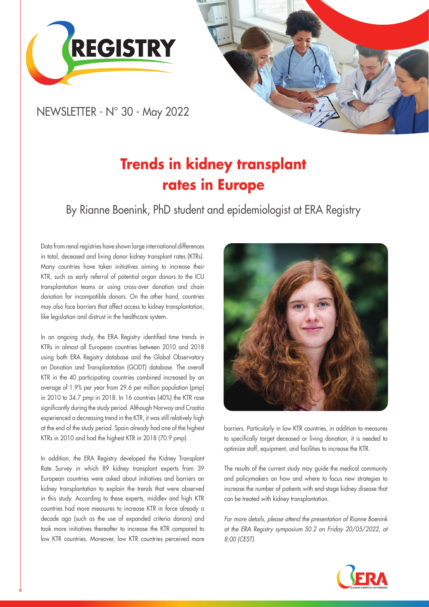



NEWSLETTER - N° 30 - May 2022

# **Trends in kidney transplant rates in Europe**

By Rianne Boenink, PhD student and epidemiologist at ERA Registry

Data from renal registries have shown large international differences in total, deceased and living donor kidney transplant rates (KTRs). Many countries have taken initiatives aiming to increase their KTR, such as early referral of potential organ donors to the ICU transplantation teams or using cross-over donation and chain donation for incompatible donors. On the other hand, countries may also face barriers that affect access to kidney transplantation, like legislation and distrust in the healthcare system.

In an ongoing study, the ERA Registry identified time trends in KTRs in almost all European countries between 2010 and 2018 using both ERA Registry database and the Global Observatory on Donation and Transplantation (GODT) database. The overall KTR in the 40 participating countries combined increased by an average of 1.9% per year from 29.6 per million population (pmp) in 2010 to 34.7 pmp in 2018. In 16 countries (40%) the KTR rose significantly during the study period. Although Norway and Croatia experienced a decreasing trend in the KTR, it was still relatively high at the end of the study period. Spain already had one of the highest KTRs in 2010 and had the highest KTR in 2018 (70.9 pmp).

In addition, the ERA Registry developed the Kidney Transplant Rate Survey in which 89 kidney transplant experts from 39 European countries were asked about initiatives and barriers on kidney transplantation to explain the trends that were observed in this study. According to these experts, middlev and high KTR countries had more measures to increase KTR in force already a decade ago (such as the use of expanded criteria donors) and took more initiatives thereafter to increase the KTR compared to low KTR countries. Moreover, low KTR countries perceived more



barriers. Particularly in low KTR countries, in addition to measures to specifically target deceased or living donation, it is needed to optimize staff, equipment, and facilities to increase the KTR.

The results of the current study may guide the medical community and policymakers on how and where to focus new strategies to increase the number of patients with end-stage kidney disease that can be treated with kidney transplantation.

*For more details, please attend the presentation of Rianne Boenink at the ERA Registry symposium S0.2 on Friday 20/05/2022, at 8:00 (CEST).*

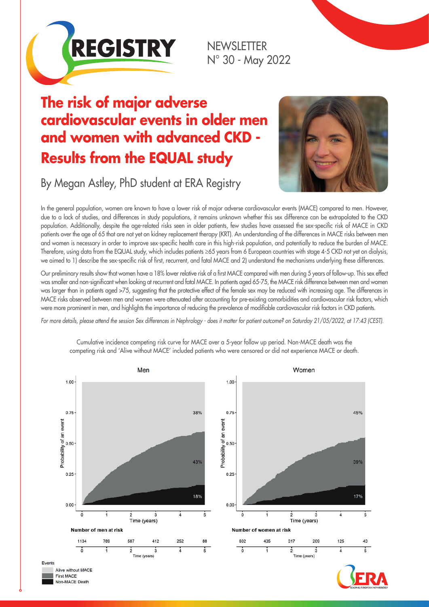

NEWSLETTER N° 30 - May 2022

## **The risk of major adverse cardiovascular events in older men and women with advanced CKD - Results from the EQUAL study**



By Megan Astley, PhD student at ERA Registry

In the general population, women are known to have a lower risk of major adverse cardiovascular events (MACE) compared to men. However, due to a lack of studies, and differences in study populations, it remains unknown whether this sex difference can be extrapolated to the CKD population. Additionally, despite the age-related risks seen in older patients, few studies have assessed the sex-specific risk of MACE in CKD patients over the age of 65 that are not yet on kidney replacement therapy (KRT). An understanding of the differences in MACE risks between men and women is necessary in order to improve sex-specific health care in this high-risk population, and potentially to reduce the burden of MACE. Therefore, using data from the EQUAL study, which includes patients ≥65 years from 6 European countries with stage 4-5 CKD not yet on dialysis, we aimed to 1) describe the sex-specific risk of first, recurrent, and fatal MACE and 2) understand the mechanisms underlying these differences.

Our preliminary results show that women have a 18% lower relative risk of a first MACE compared with men during 5 years of follow-up. This sex effect was smaller and non-significant when looking at recurrent and fatal MACE. In patients aged 65-75, the MACE risk difference between men and women was larger than in patients aged >75, suggesting that the protective effect of the female sex may be reduced with increasing age. The differences in MACE risks observed between men and women were attenuated after accounting for pre-existing comorbidities and cardiovascular risk factors, which were more prominent in men, and highlights the importance of reducing the prevalence of modifiable cardiovascular risk factors in CKD patients.

*For more details, please attend the session Sex differences in Nephrology - does it matter for patient outcome? on Saturday 21/05/2022, at 17:43 (CEST).*



Cumulative incidence competing risk curve for MACE over a 5-year follow up period. Non-MACE death was the competing risk and 'Alive without MACE' included patients who were censored or did not experience MACE or death.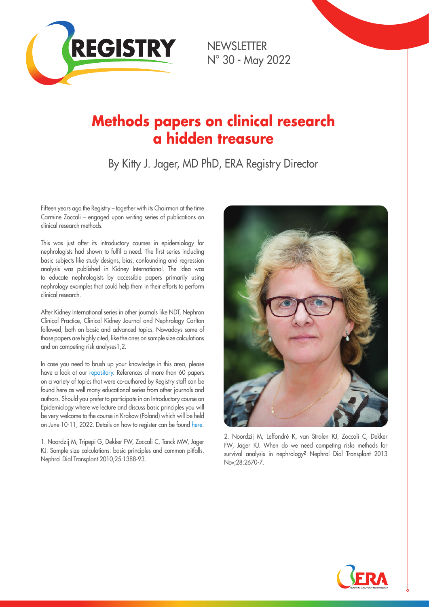

NEWSLETTER N° 30 - May 2022

### **Methods papers on clinical research a hidden treasure**

By Kitty J. Jager, MD PhD, ERA Registry Director

Fifteen years ago the Registry – together with its Chairman at the time Carmine Zoccali – engaged upon writing series of publications on clinical research methods.

This was just after its introductory courses in epidemiology for nephrologists had shown to fulfil a need. The first series including basic subjects like study designs, bias, confounding and regression analysis was published in Kidney International. The idea was to educate nephrologists by accessible papers primarily using nephrology examples that could help them in their efforts to perform clinical research.

After Kidney International series in other journals like NDT, Nephron Clinical Practice, Clinical Kidney Journal and Nephrology Carlton followed, both on basic and advanced topics. Nowadays some of those papers are highly cited, like the ones on sample size calculations and on competing risk analyses1,2.

In case you need to brush up your knowledge in this area, please have a look at our [repository.](https://www.era-online.org/en/registry/education/paper-series/) References of more than 60 papers on a variety of topics that were co-authored by Registry staff can be found here as well many educational series from other journals and authors. Should you prefer to participate in an Introductory course on Epidemiology where we lecture and discuss basic principles you will be very welcome to the course in Krakow (Poland) which will be held on June 10-11, 2022. Details on how to register can be found [here.](https://www.era-online.org/en/registry/education/courses/)

1. Noordzij M, Tripepi G, Dekker FW, Zoccali C, Tanck MW, Jager KJ. Sample size calculations: basic principles and common pitfalls. Nephrol Dial Transplant 2010;25:1388-93.



2. Noordzij M, Leffondré K, van Stralen KJ, Zoccali C, Dekker FW, Jager KJ. When do we need competing risks methods for survival analysis in nephrology? Nephrol Dial Transplant 2013 Nov;28:2670-7.